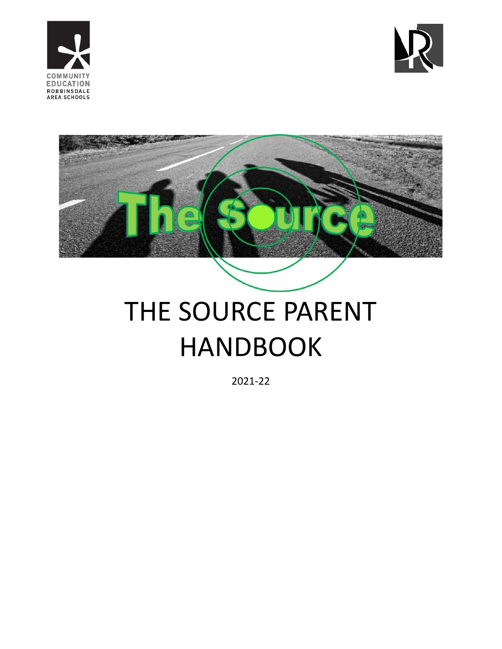





# THE SOURCE PARENT HANDBOOK

2021-22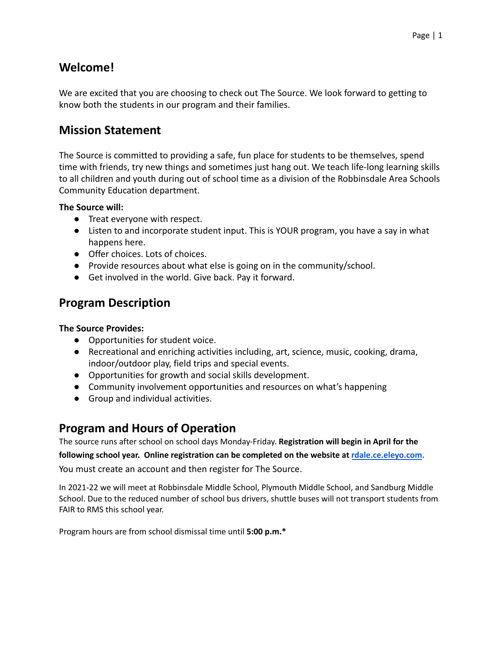# **Welcome!**

We are excited that you are choosing to check out The Source. We look forward to getting to know both the students in our program and their families.

## **Mission Statement**

The Source is committed to providing a safe, fun place for students to be themselves, spend time with friends, try new things and sometimes just hang out. We teach life-long learning skills to all children and youth during out of school time as a division of the Robbinsdale Area Schools Community Education department.

#### **The Source will:**

- Treat everyone with respect.
- Listen to and incorporate student input. This is YOUR program, you have a say in what happens here.
- Offer choices. Lots of choices.
- Provide resources about what else is going on in the community/school.
- Get involved in the world. Give back. Pay it forward.

# **Program Description**

#### **The Source Provides:**

- Opportunities for student voice.
- Recreational and enriching activities including, art, science, music, cooking, drama, indoor/outdoor play, field trips and special events.
- Opportunities for growth and social skills development.
- Community involvement opportunities and resources on what's happening
- Group and individual activities.

## **Program and Hours of Operation**

The source runs after school on school days Monday-Friday. **Registration will begin in April for the**

**following school year. Online registration can be completed on the website at [rdale.ce.eleyo.com](http://rdale.ce.eleyo.com)**.

You must create an account and then register for The Source.

In 2021-22 we will meet at Robbinsdale Middle School, Plymouth Middle School, and Sandburg Middle School. Due to the reduced number of school bus drivers, shuttle buses will not transport students from FAIR to RMS this school year.

Program hours are from school dismissal time until **5:00 p.m.\***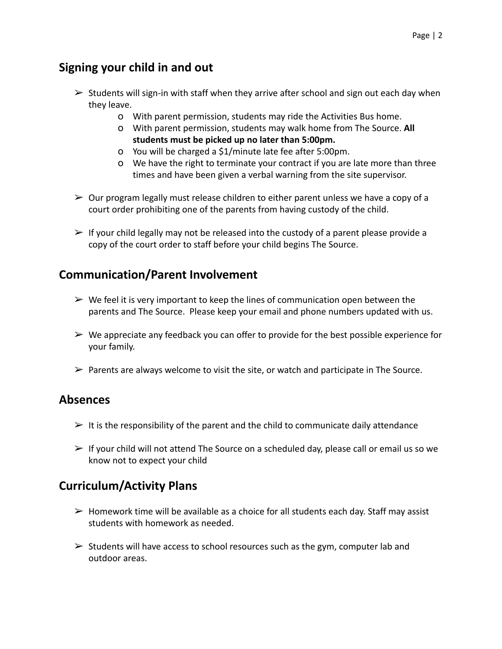## **Signing your child in and out**

- $\triangleright$  Students will sign-in with staff when they arrive after school and sign out each day when they leave.
	- o With parent permission, students may ride the Activities Bus home.
	- o With parent permission, students may walk home from The Source. **All students must be picked up no later than 5:00pm.**
	- o You will be charged a \$1/minute late fee after 5:00pm.
	- o We have the right to terminate your contract if you are late more than three times and have been given a verbal warning from the site supervisor.
- $\geq 0$ ur program legally must release children to either parent unless we have a copy of a court order prohibiting one of the parents from having custody of the child.
- $\triangleright$  If your child legally may not be released into the custody of a parent please provide a copy of the court order to staff before your child begins The Source.

## **Communication/Parent Involvement**

- $\triangleright$  We feel it is very important to keep the lines of communication open between the parents and The Source. Please keep your email and phone numbers updated with us.
- $\triangleright$  We appreciate any feedback you can offer to provide for the best possible experience for your family.
- $\triangleright$  Parents are always welcome to visit the site, or watch and participate in The Source.

## **Absences**

- $\triangleright$  It is the responsibility of the parent and the child to communicate daily attendance
- $\triangleright$  If your child will not attend The Source on a scheduled day, please call or email us so we know not to expect your child

## **Curriculum/Activity Plans**

- $\triangleright$  Homework time will be available as a choice for all students each day. Staff may assist students with homework as needed.
- $\triangleright$  Students will have access to school resources such as the gym, computer lab and outdoor areas.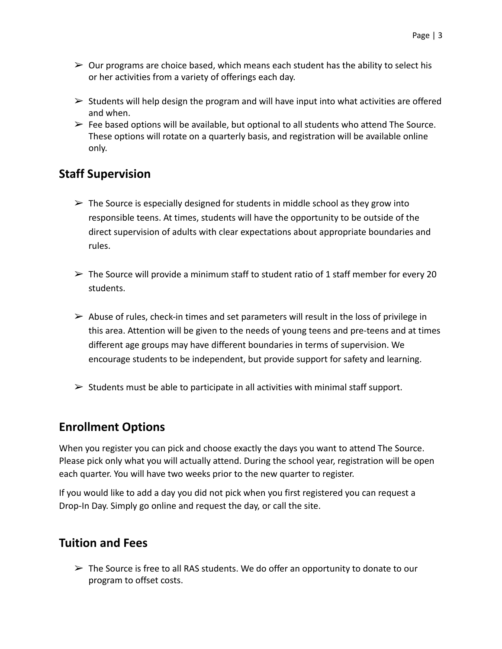- $\triangleright$  Our programs are choice based, which means each student has the ability to select his or her activities from a variety of offerings each day.
- $\triangleright$  Students will help design the program and will have input into what activities are offered and when.
- $\triangleright$  Fee based options will be available, but optional to all students who attend The Source. These options will rotate on a quarterly basis, and registration will be available online only.

## **Staff Supervision**

- $\triangleright$  The Source is especially designed for students in middle school as they grow into responsible teens. At times, students will have the opportunity to be outside of the direct supervision of adults with clear expectations about appropriate boundaries and rules.
- $\triangleright$  The Source will provide a minimum staff to student ratio of 1 staff member for every 20 students.
- $\triangleright$  Abuse of rules, check-in times and set parameters will result in the loss of privilege in this area. Attention will be given to the needs of young teens and pre-teens and at times different age groups may have different boundaries in terms of supervision. We encourage students to be independent, but provide support for safety and learning.
- $\triangleright$  Students must be able to participate in all activities with minimal staff support.

## **Enrollment Options**

When you register you can pick and choose exactly the days you want to attend The Source. Please pick only what you will actually attend. During the school year, registration will be open each quarter. You will have two weeks prior to the new quarter to register.

If you would like to add a day you did not pick when you first registered you can request a Drop-In Day. Simply go online and request the day, or call the site.

#### **Tuition and Fees**

 $\triangleright$  The Source is free to all RAS students. We do offer an opportunity to donate to our program to offset costs.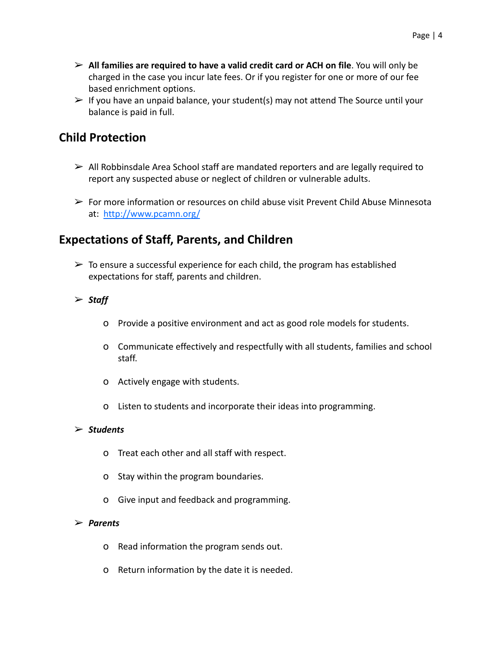- ➢ **All families are required to have a valid credit card or ACH on file**. You will only be charged in the case you incur late fees. Or if you register for one or more of our fee based enrichment options.
- $\triangleright$  If you have an unpaid balance, your student(s) may not attend The Source until your balance is paid in full.

## **Child Protection**

- $\triangleright$  All Robbinsdale Area School staff are mandated reporters and are legally required to report any suspected abuse or neglect of children or vulnerable adults.
- $\triangleright$  For more information or resources on child abuse visit Prevent Child Abuse Minnesota at: [http://www.pcamn.org/](http://www.pcamn.org)

# **Expectations of Staff, Parents, and Children**

- $\triangleright$  To ensure a successful experience for each child, the program has established expectations for staff, parents and children.
- ➢ *Staff*
	- o Provide a positive environment and act as good role models for students.
	- o Communicate effectively and respectfully with all students, families and school staff.
	- o Actively engage with students.
	- o Listen to students and incorporate their ideas into programming.

#### ➢ *Students*

- o Treat each other and all staff with respect.
- o Stay within the program boundaries.
- o Give input and feedback and programming.

#### ➢ *Parents*

- o Read information the program sends out.
- o Return information by the date it is needed.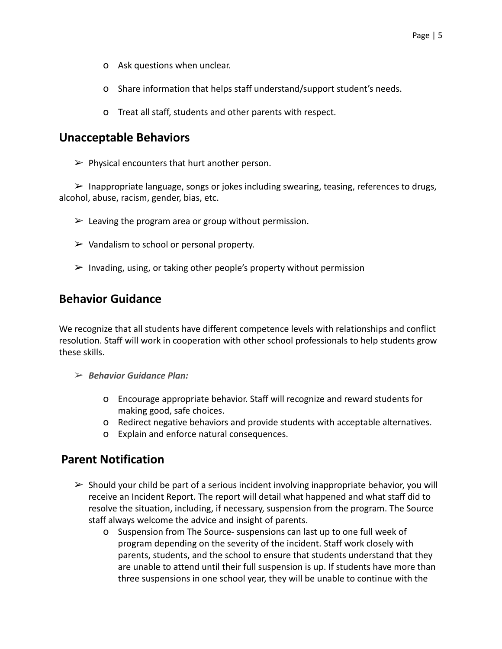- o Ask questions when unclear.
- o Share information that helps staff understand/support student's needs.
- o Treat all staff, students and other parents with respect.

#### **Unacceptable Behaviors**

 $\triangleright$  Physical encounters that hurt another person.

 $\triangleright$  Inappropriate language, songs or jokes including swearing, teasing, references to drugs, alcohol, abuse, racism, gender, bias, etc.

- $\geq$  Leaving the program area or group without permission.
- $\triangleright$  Vandalism to school or personal property.
- $\triangleright$  Invading, using, or taking other people's property without permission

#### **Behavior Guidance**

We recognize that all students have different competence levels with relationships and conflict resolution. Staff will work in cooperation with other school professionals to help students grow these skills.

- ➢ *Behavior Guidance Plan:*
	- o Encourage appropriate behavior. Staff will recognize and reward students for making good, safe choices.
	- o Redirect negative behaviors and provide students with acceptable alternatives.
	- o Explain and enforce natural consequences.

## **Parent Notification**

- $\triangleright$  Should your child be part of a serious incident involving inappropriate behavior, you will receive an Incident Report. The report will detail what happened and what staff did to resolve the situation, including, if necessary, suspension from the program. The Source staff always welcome the advice and insight of parents.
	- o Suspension from The Source- suspensions can last up to one full week of program depending on the severity of the incident. Staff work closely with parents, students, and the school to ensure that students understand that they are unable to attend until their full suspension is up. If students have more than three suspensions in one school year, they will be unable to continue with the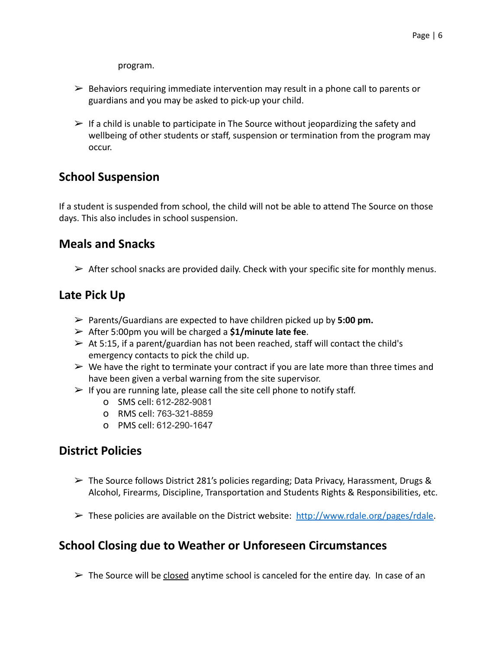program.

- $\triangleright$  Behaviors requiring immediate intervention may result in a phone call to parents or guardians and you may be asked to pick-up your child.
- $\triangleright$  If a child is unable to participate in The Source without jeopardizing the safety and wellbeing of other students or staff, suspension or termination from the program may occur.

# **School Suspension**

If a student is suspended from school, the child will not be able to attend The Source on those days. This also includes in school suspension.

#### **Meals and Snacks**

 $\triangleright$  After school snacks are provided daily. Check with your specific site for monthly menus.

# **Late Pick Up**

- ➢ Parents/Guardians are expected to have children picked up by **5:00 pm.**
- ➢ After 5:00pm you will be charged a **\$1/minute late fee**.
- $\triangleright$  At 5:15, if a parent/guardian has not been reached, staff will contact the child's emergency contacts to pick the child up.
- $\triangleright$  We have the right to terminate your contract if you are late more than three times and have been given a verbal warning from the site supervisor.
- $\triangleright$  If you are running late, please call the site cell phone to notify staff.
	- o SMS cell: 612-282-9081
	- o RMS cell: 763-321-8859
	- o PMS cell: 612-290-1647

## **District Policies**

- $\triangleright$  The Source follows District 281's policies regarding; Data Privacy, Harassment, Drugs & Alcohol, Firearms, Discipline, Transportation and Students Rights & Responsibilities, etc.
- $\triangleright$  These policies are available on the District website: [http://www.rdale.org/pages/rdale.](http://www.rdale.org/pages/rdale)

## **School Closing due to Weather or Unforeseen Circumstances**

 $\triangleright$  The Source will be closed anytime school is canceled for the entire day. In case of an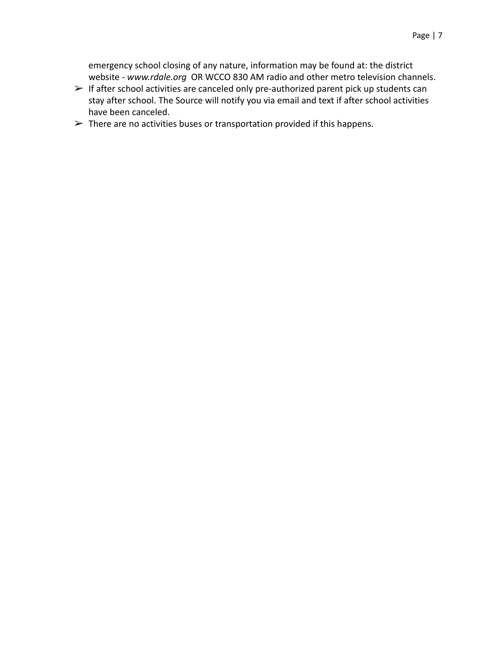emergency school closing of any nature, information may be found at: the district website - *www.rdale.org* OR WCCO 830 AM radio and other metro television channels.

- $\triangleright$  If after school activities are canceled only pre-authorized parent pick up students can stay after school. The Source will notify you via email and text if after school activities have been canceled.
- $\triangleright$  There are no activities buses or transportation provided if this happens.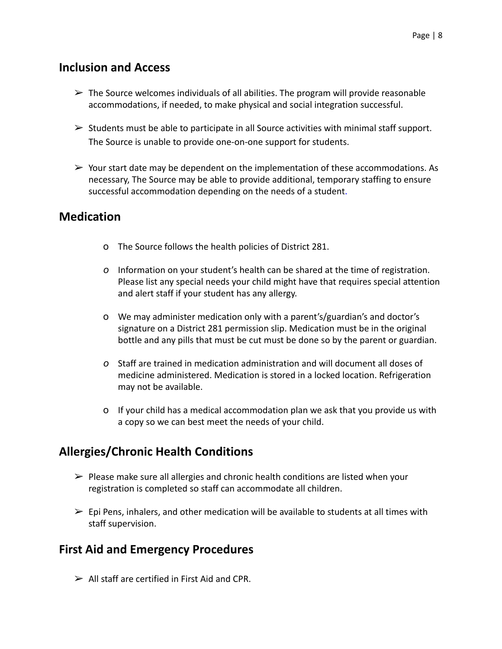#### **Inclusion and Access**

- $\triangleright$  The Source welcomes individuals of all abilities. The program will provide reasonable accommodations, if needed, to make physical and social integration successful.
- $\triangleright$  Students must be able to participate in all Source activities with minimal staff support. The Source is unable to provide one-on-one support for students.
- $\triangleright$  Your start date may be dependent on the implementation of these accommodations. As necessary, The Source may be able to provide additional, temporary staffing to ensure successful accommodation depending on the needs of a student.

#### **Medication**

- o The Source follows the health policies of District 281.
- *o* Information on your student's health can be shared at the time of registration. Please list any special needs your child might have that requires special attention and alert staff if your student has any allergy.
- o We may administer medication only with a parent's/guardian's and doctor's signature on a District 281 permission slip. Medication must be in the original bottle and any pills that must be cut must be done so by the parent or guardian.
- *o* Staff are trained in medication administration and will document all doses of medicine administered. Medication is stored in a locked location. Refrigeration may not be available.
- o If your child has a medical accommodation plan we ask that you provide us with a copy so we can best meet the needs of your child.

# **Allergies/Chronic Health Conditions**

- $\triangleright$  Please make sure all allergies and chronic health conditions are listed when your registration is completed so staff can accommodate all children.
- $\triangleright$  Epi Pens, inhalers, and other medication will be available to students at all times with staff supervision.

## **First Aid and Emergency Procedures**

 $\geq$  All staff are certified in First Aid and CPR.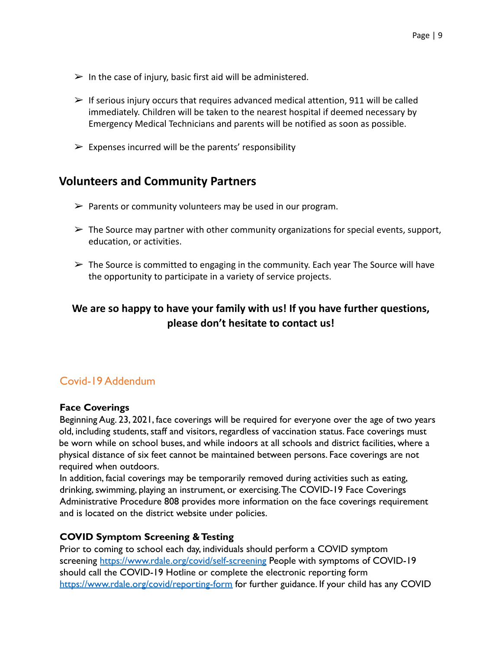- $\triangleright$  In the case of injury, basic first aid will be administered.
- $\triangleright$  If serious injury occurs that requires advanced medical attention, 911 will be called immediately. Children will be taken to the nearest hospital if deemed necessary by Emergency Medical Technicians and parents will be notified as soon as possible.
- $\triangleright$  Expenses incurred will be the parents' responsibility

## **Volunteers and Community Partners**

- $\triangleright$  Parents or community volunteers may be used in our program.
- $\triangleright$  The Source may partner with other community organizations for special events, support, education, or activities.
- $\triangleright$  The Source is committed to engaging in the community. Each year The Source will have the opportunity to participate in a variety of service projects.

## **We are so happy to have your family with us! If you have further questions, please don't hesitate to contact us!**

#### Covid-19 Addendum

#### **Face Coverings**

Beginning Aug. 23, 2021, face coverings will be required for everyone over the age of two years old, including students, staff and visitors, regardless of vaccination status. Face coverings must be worn while on school buses, and while indoors at all schools and district facilities, where a physical distance of six feet cannot be maintained between persons. Face coverings are not required when outdoors.

In addition, facial coverings may be temporarily removed during activities such as eating, drinking, swimming, playing an instrument, or exercising.The COVID-19 Face Coverings Administrative Procedure 808 provides more information on the face coverings requirement and is located on the district website under policies.

#### **COVID Symptom Screening & Testing**

Prior to coming to school each day, individuals should perform a COVID symptom screening https://www.rdale.org/covid/self-screening People with symptoms of COVID-19 should call the COVID-19 Hotline or complete the electronic reporting form https://www.rdale.org/covid/reporting-form for further guidance. If your child has any COVID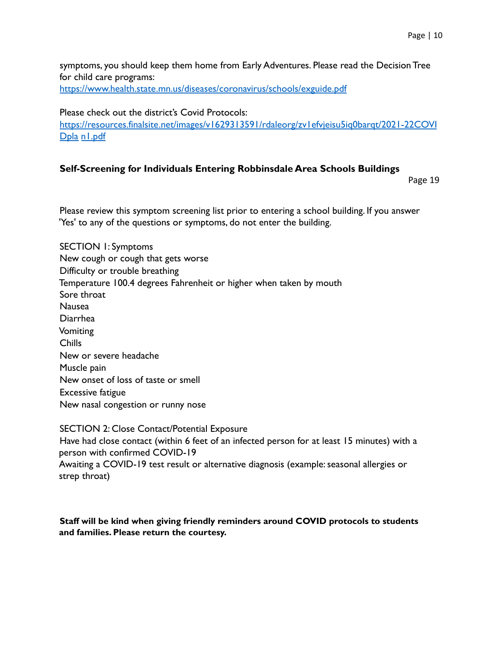symptoms, you should keep them home from Early Adventures. Please read the Decision Tree for child care programs: https://www.health.state.mn.us/diseases/coronavirus/schools/exguide.pdf

Please check out the district's Covid Protocols:

https://resources.finalsite.net/images/v1629313591/rdaleorg/zv1efvjeisu5iq0barqt/2021-22COVI Dpla n1.pdf

#### **Self-Screening for Individuals Entering Robbinsdale Area Schools Buildings**

Page 19

Please review this symptom screening list prior to entering a school building. If you answer 'Yes' to any of the questions or symptoms, do not enter the building.

SECTION 1: Symptoms New cough or cough that gets worse Difficulty or trouble breathing Temperature 100.4 degrees Fahrenheit or higher when taken by mouth Sore throat Nausea Diarrhea Vomiting Chills New or severe headache Muscle pain New onset of loss of taste or smell Excessive fatigue New nasal congestion or runny nose

SECTION 2: Close Contact/Potential Exposure Have had close contact (within 6 feet of an infected person for at least 15 minutes) with a person with confirmed COVID-19 Awaiting a COVID-19 test result or alternative diagnosis (example: seasonal allergies or strep throat)

#### **Staff will be kind when giving friendly reminders around COVID protocols to students and families. Please return the courtesy.**